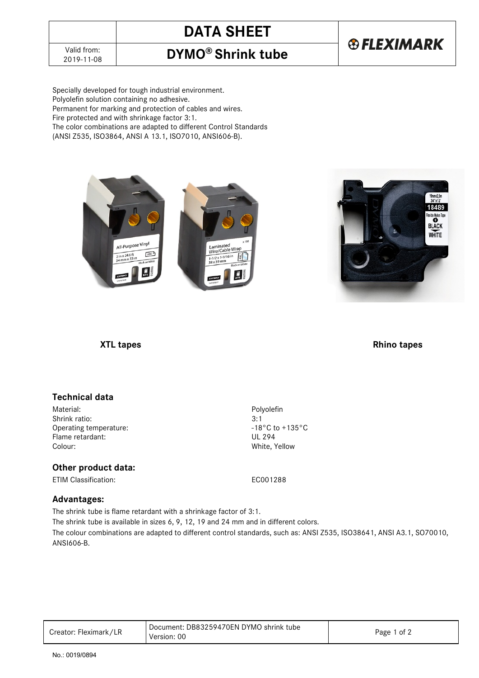# **DATA SHEET**

# **®FLEXIMARK**

2019-11-08 **DYMO® Shrink tube**

Specially developed for tough industrial environment. Polyolefin solution containing no adhesive. Permanent for marking and protection of cables and wires. Fire protected and with shrinkage factor 3:1. The color combinations are adapted to different Control Standards (ANSI Z535, ISO3864, ANSI A 13.1, ISO7010, ANSI606-B).

> All-Purpose Vinyl re/Cable Wrat  $ABC$  $5^{\rm H}$  $1.9/16$  in



### *XTL tapes* Rhino tapes

# **Technical data**

Material: Polyolefin Shrink ratio: 3:1<br>Operating temperature:  $3.1$ <br> $-18^{\circ}$ C to +135°C Operating temperature:  $\begin{array}{ccc} -18^{\circ} \text{C t} \\ -18^{\circ} \text{C t} \end{array}$  +13<sup>o</sup>C to +13<sup>o</sup>C to +13<sup>o</sup>C to +13<sup>o</sup>C to +135<sup>o</sup>C to +1350 Flame retardant:<br>Colour:

### **Other product data:**

ETIM Classification: EC001288

White, Yellow

# **Advantages:**

The shrink tube is flame retardant with a shrinkage factor of 3:1.

The shrink tube is available in sizes 6, 9, 12, 19 and 24 mm and in different colors.

The colour combinations are adapted to different control standards, such as: ANSI Z535, ISO38641, ANSI A3.1, SO70010, ANSI606-B.

| Creator: Fleximark/LR | Document: DB83259470EN DYMO shrink tube<br>Version: 00 | Page 1 of 2 |
|-----------------------|--------------------------------------------------------|-------------|
|-----------------------|--------------------------------------------------------|-------------|